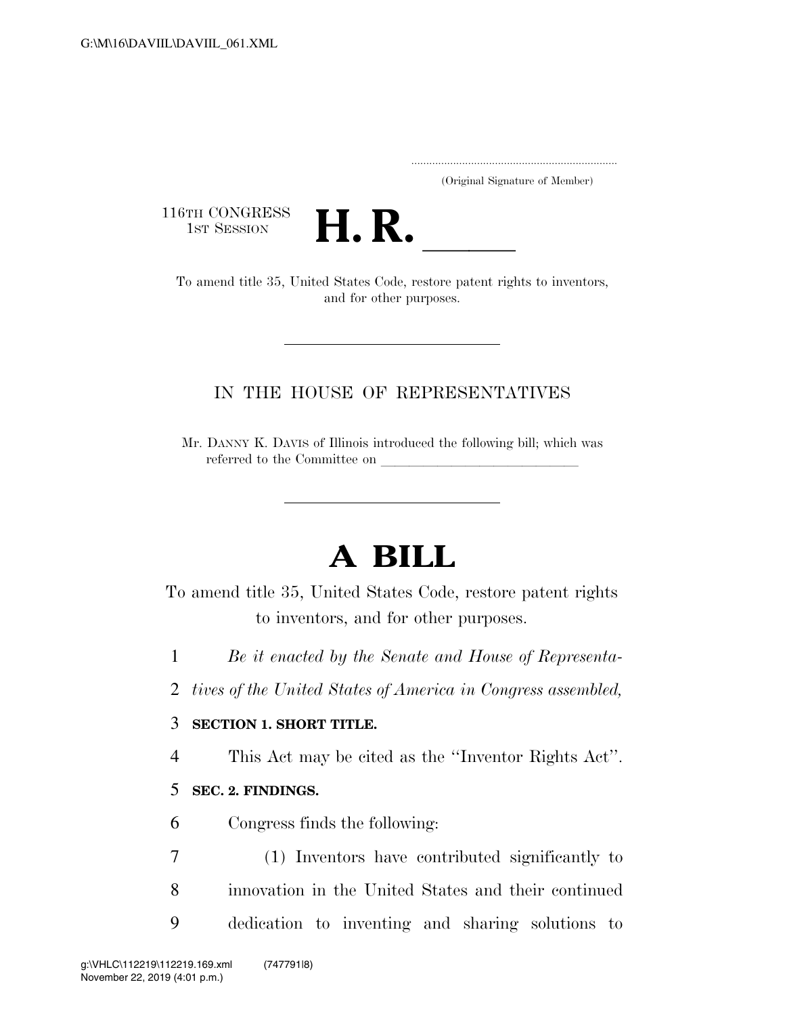..................................................................... (Original Signature of Member)

116TH CONGRESS<br>1st Session



6TH CONGRESS<br>1st SESSION **H. R.** <u>Inited States Code</u>, restore patent rights to inventors, and for other purposes.

## IN THE HOUSE OF REPRESENTATIVES

Mr. DANNY K. DAVIS of Illinois introduced the following bill; which was referred to the Committee on

# **A BILL**

To amend title 35, United States Code, restore patent rights to inventors, and for other purposes.

- 1 *Be it enacted by the Senate and House of Representa-*
- 2 *tives of the United States of America in Congress assembled,*

### 3 **SECTION 1. SHORT TITLE.**

4 This Act may be cited as the ''Inventor Rights Act''.

### 5 **SEC. 2. FINDINGS.**

- 6 Congress finds the following:
- 7 (1) Inventors have contributed significantly to 8 innovation in the United States and their continued 9 dedication to inventing and sharing solutions to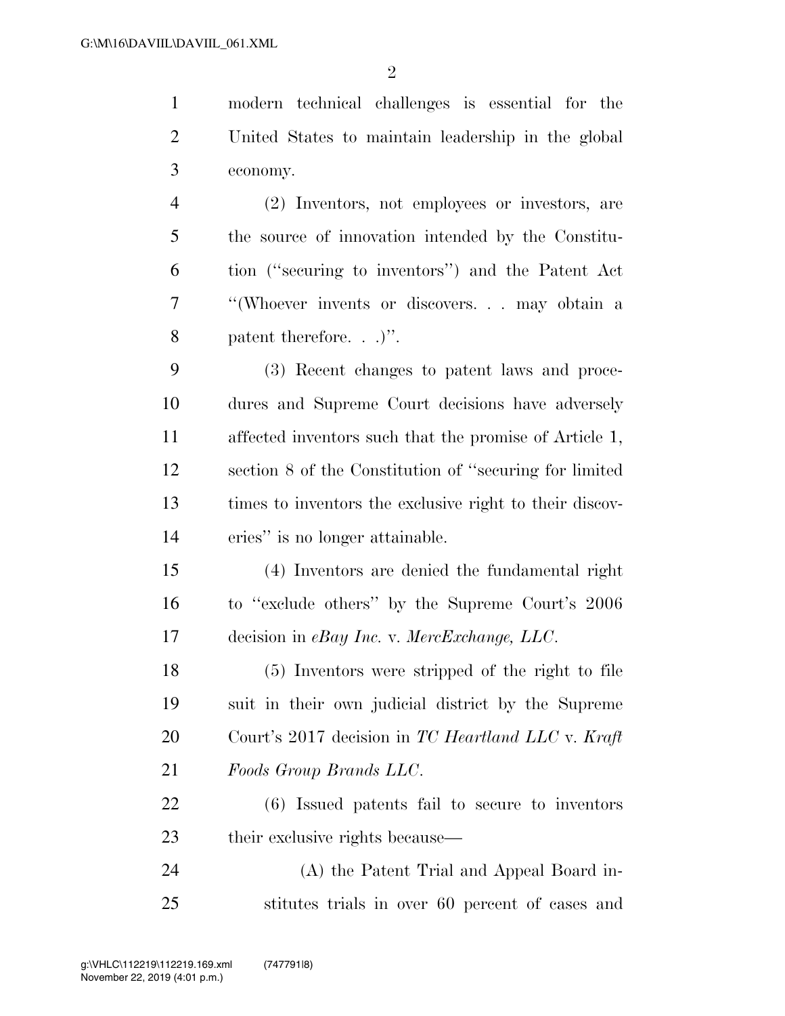modern technical challenges is essential for the United States to maintain leadership in the global economy. (2) Inventors, not employees or investors, are

 the source of innovation intended by the Constitu- tion (''securing to inventors'') and the Patent Act ''(Whoever invents or discovers. . . may obtain a patent therefore. . .)''.

 (3) Recent changes to patent laws and proce- dures and Supreme Court decisions have adversely affected inventors such that the promise of Article 1, section 8 of the Constitution of ''securing for limited times to inventors the exclusive right to their discov-eries'' is no longer attainable.

 (4) Inventors are denied the fundamental right to ''exclude others'' by the Supreme Court's 2006 decision in *eBay Inc.* v. *MercExchange, LLC*.

 (5) Inventors were stripped of the right to file suit in their own judicial district by the Supreme Court's 2017 decision in *TC Heartland LLC* v. *Kraft Foods Group Brands LLC*.

 (6) Issued patents fail to secure to inventors their exclusive rights because—

 (A) the Patent Trial and Appeal Board in-stitutes trials in over 60 percent of cases and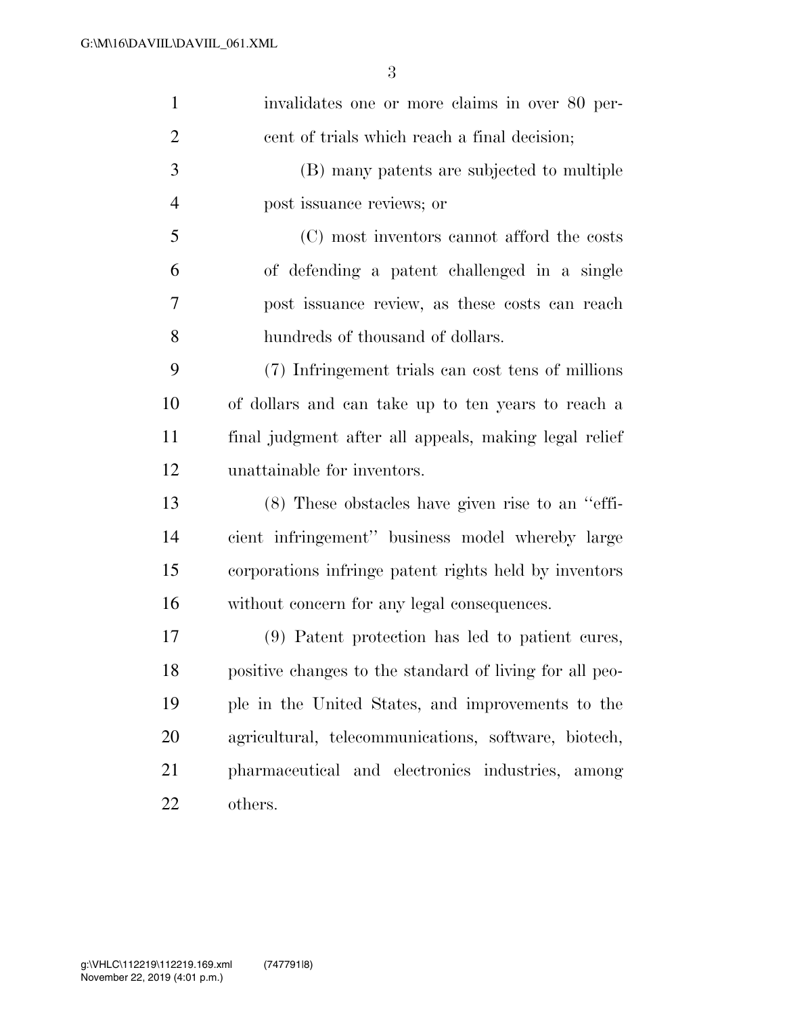| $\mathbf{1}$   | invalidates one or more claims in over 80 per-          |
|----------------|---------------------------------------------------------|
| $\overline{2}$ | cent of trials which reach a final decision;            |
| 3              | (B) many patents are subjected to multiple              |
| $\overline{4}$ | post issuance reviews; or                               |
| 5              | (C) most inventors cannot afford the costs              |
| 6              | of defending a patent challenged in a single            |
| 7              | post issuance review, as these costs can reach          |
| 8              | hundreds of thousand of dollars.                        |
| 9              | (7) Infringement trials can cost tens of millions       |
| 10             | of dollars and can take up to ten years to reach a      |
| 11             | final judgment after all appeals, making legal relief   |
| 12             | unattainable for inventors.                             |
| 13             | $(8)$ These obstacles have given rise to an "effi-      |
| 14             | cient infringement" business model whereby large        |
| 15             | corporations infringe patent rights held by inventors   |
| 16             | without concern for any legal consequences.             |
| 17             | (9) Patent protection has led to patient cures,         |
| 18             | positive changes to the standard of living for all peo- |
| 19             | ple in the United States, and improvements to the       |
| 20             | agricultural, telecommunications, software, biotech,    |
| 21             | pharmaceutical and electronics industries, among        |
| 22             | others.                                                 |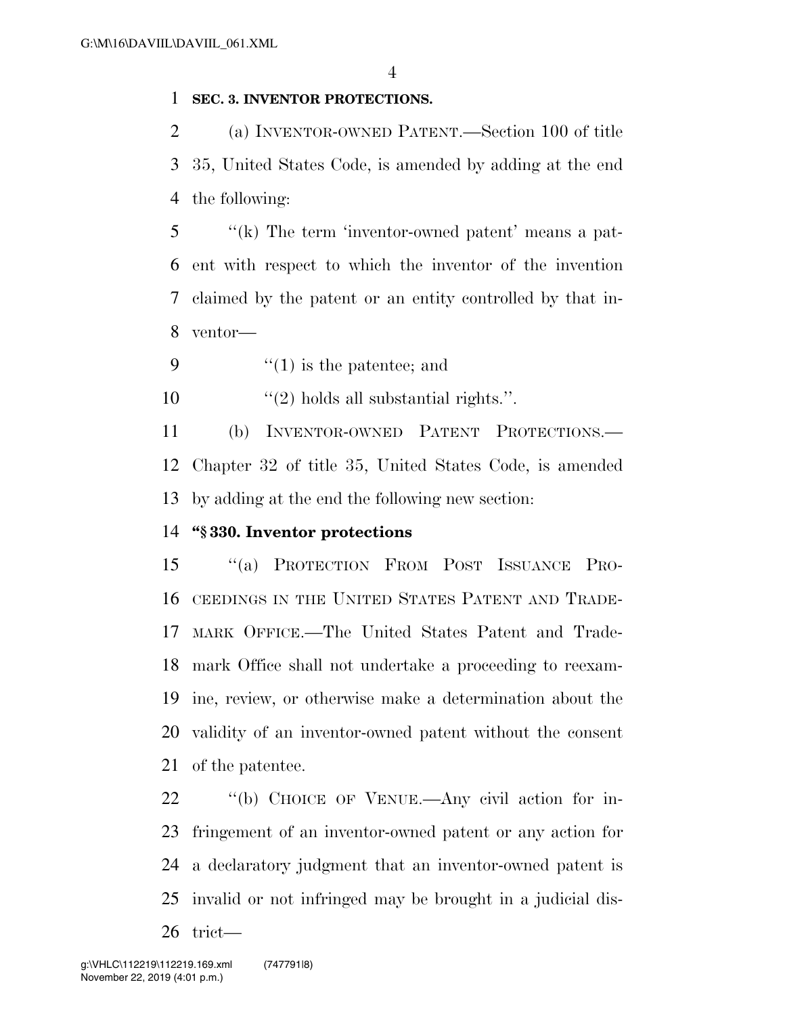#### **SEC. 3. INVENTOR PROTECTIONS.**

 (a) INVENTOR-OWNED PATENT.—Section 100 of title 35, United States Code, is amended by adding at the end the following:

 ''(k) The term 'inventor-owned patent' means a pat- ent with respect to which the inventor of the invention claimed by the patent or an entity controlled by that in-ventor—

9  $\frac{u(1)}{1}$  is the patentee; and

10  $\frac{1}{2}$  holds all substantial rights.".

 (b) INVENTOR-OWNED PATENT PROTECTIONS.— Chapter 32 of title 35, United States Code, is amended by adding at the end the following new section:

### **''§ 330. Inventor protections**

 ''(a) PROTECTION FROM POST ISSUANCE PRO- CEEDINGS IN THE UNITED STATES PATENT AND TRADE- MARK OFFICE.—The United States Patent and Trade- mark Office shall not undertake a proceeding to reexam- ine, review, or otherwise make a determination about the validity of an inventor-owned patent without the consent of the patentee.

 ''(b) CHOICE OF VENUE.—Any civil action for in- fringement of an inventor-owned patent or any action for a declaratory judgment that an inventor-owned patent is invalid or not infringed may be brought in a judicial dis-

trict—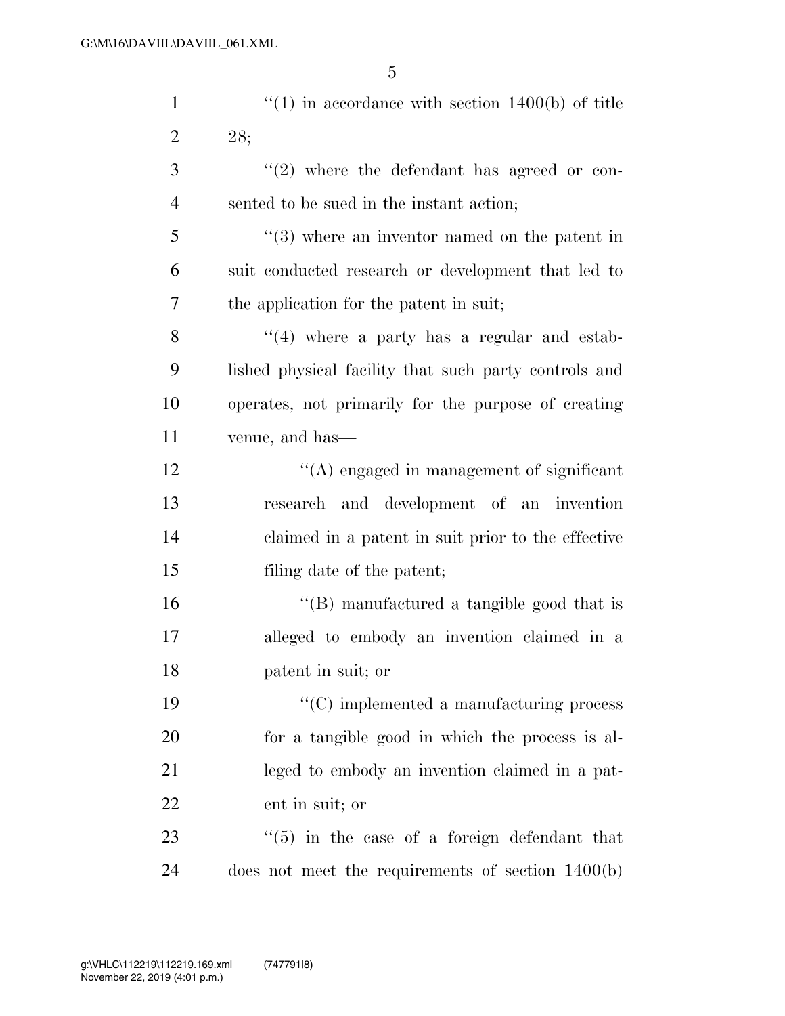| $\mathbf{1}$   | $f'(1)$ in accordance with section 1400(b) of title      |
|----------------|----------------------------------------------------------|
| $\overline{2}$ | 28;                                                      |
| 3              | $(2)$ where the defendant has agreed or con-             |
| $\overline{4}$ | sented to be sued in the instant action;                 |
| 5              | $(3)$ where an inventor named on the patent in           |
| 6              | suit conducted research or development that led to       |
| 7              | the application for the patent in suit;                  |
| 8              | $((4)$ where a party has a regular and estab-            |
| 9              | lished physical facility that such party controls and    |
| 10             | operates, not primarily for the purpose of creating      |
| 11             | venue, and has—                                          |
| 12             | $\lq\lq$ engaged in management of significant            |
| 13             | research and development of an invention                 |
| 14             | claimed in a patent in suit prior to the effective       |
| 15             | filing date of the patent;                               |
| 16             | $\lq\lq$ (B) manufactured a tangible good that is        |
| 17             | alleged to embody an invention claimed in a              |
| 18             | patent in suit; or                                       |
| 19             | $\cdot$ (C) implemented a manufacturing process          |
| 20             | for a tangible good in which the process is al-          |
| 21             | leged to embody an invention claimed in a pat-           |
| 22             | ent in suit; or                                          |
| 23             | $\cdot\cdot$ (5) in the case of a foreign defendant that |
| 24             | does not meet the requirements of section $1400(b)$      |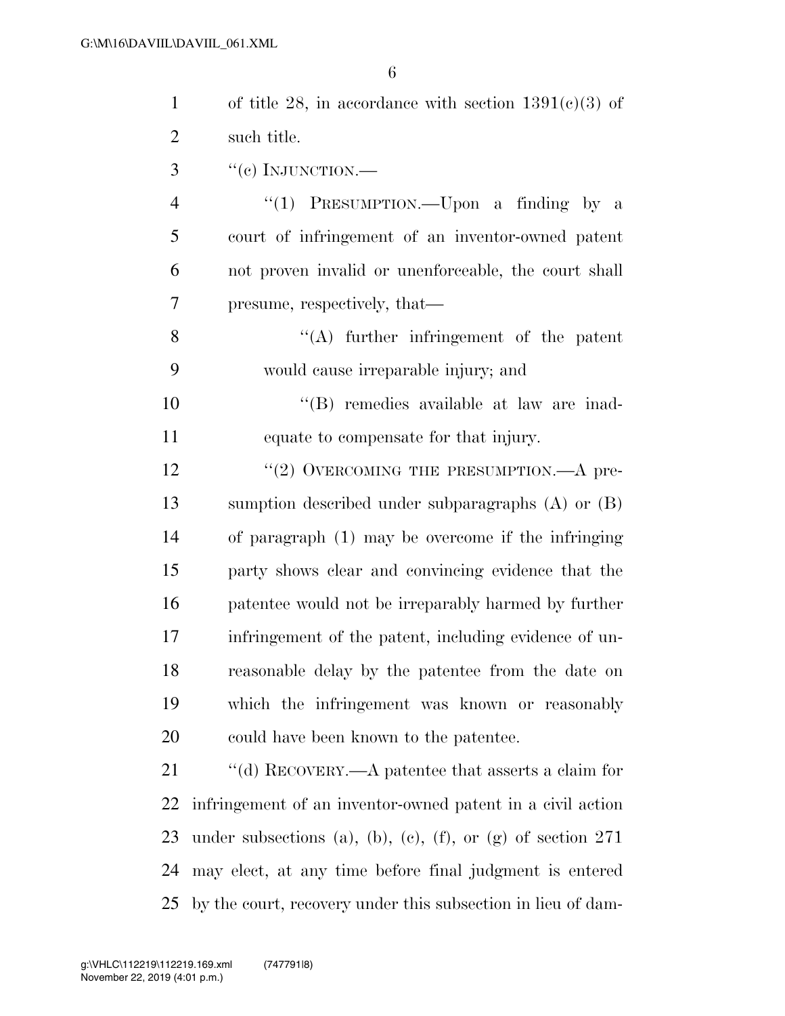| $\mathbf{1}$   | of title 28, in accordance with section $1391(c)(3)$ of       |
|----------------|---------------------------------------------------------------|
| $\overline{2}$ | such title.                                                   |
| 3              | $``(e)$ INJUNCTION.—                                          |
| $\overline{4}$ | "(1) PRESUMPTION.—Upon a finding by a                         |
| 5              | court of infringement of an inventor-owned patent             |
| 6              | not proven invalid or unenforceable, the court shall          |
| 7              | presume, respectively, that—                                  |
| 8              | $\lq\lq$ further infringement of the patent                   |
| 9              | would cause irreparable injury; and                           |
| 10             | "(B) remedies available at law are inad-                      |
| 11             | equate to compensate for that injury.                         |
| 12             | "(2) OVERCOMING THE PRESUMPTION. $-A$ pre-                    |
| 13             | sumption described under subparagraphs $(A)$ or $(B)$         |
| 14             | of paragraph (1) may be overcome if the infringing            |
| 15             | party shows clear and convincing evidence that the            |
| 16             | patentee would not be irreparably harmed by further           |
| 17             | infringement of the patent, including evidence of un-         |
| 18             | reasonable delay by the patentee from the date on             |
| 19             | which the infringement was known or reasonably                |
| 20             | could have been known to the patentee.                        |
| 21             | "(d) RECOVERY.—A patentee that asserts a claim for            |
| 22             | infringement of an inventor-owned patent in a civil action    |
| 23             | under subsections (a), (b), (c), (f), or (g) of section $271$ |
| 24             | may elect, at any time before final judgment is entered       |
| 25             | by the court, recovery under this subsection in lieu of dam-  |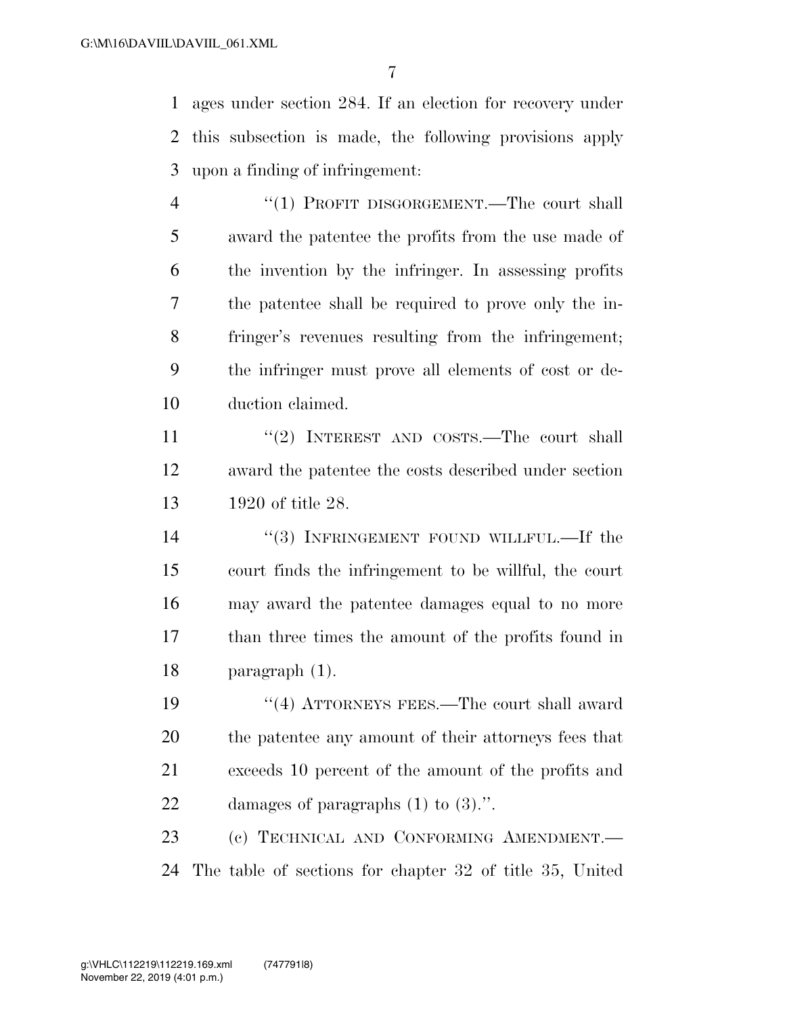ages under section 284. If an election for recovery under this subsection is made, the following provisions apply upon a finding of infringement:

4 "(1) PROFIT DISGORGEMENT.—The court shall award the patentee the profits from the use made of the invention by the infringer. In assessing profits the patentee shall be required to prove only the in- fringer's revenues resulting from the infringement; the infringer must prove all elements of cost or de-duction claimed.

11 ''(2) INTEREST AND COSTS.—The court shall award the patentee the costs described under section 1920 of title 28.

14 "(3) INFRINGEMENT FOUND WILLFUL.—If the court finds the infringement to be willful, the court may award the patentee damages equal to no more than three times the amount of the profits found in paragraph (1).

19 ''(4) ATTORNEYS FEES.—The court shall award the patentee any amount of their attorneys fees that exceeds 10 percent of the amount of the profits and damages of paragraphs (1) to (3).''.

 (c) TECHNICAL AND CONFORMING AMENDMENT.— The table of sections for chapter 32 of title 35, United